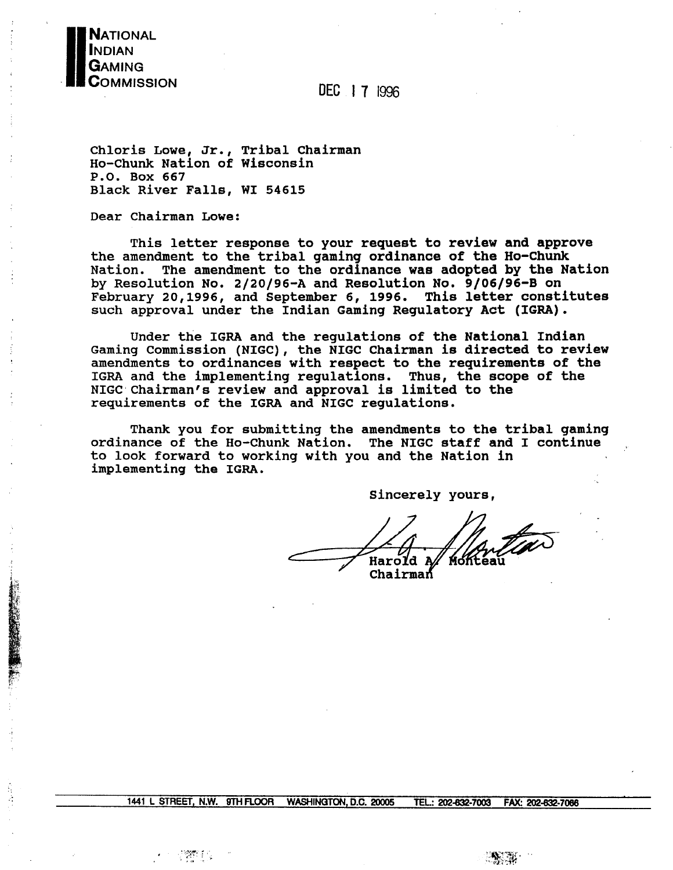

DEC **1 7** 1996

**Chloris Lowe, Jr., Tribal Chairman Ho-Chunk Nation of Wisconsin P.O. Box 667 Black River Falls, WI 54615** 

**Dear Chairman Lowe:** 

**This letter response to your request to review and approve the amendment to the tribal gaming ordinance of the Ho-Chunk Nation. The amendment to the ordinance was adopted by the Nation by Resolution No. 2/20/96-A and Resolution No. 9/06/96-B on February 20,1996, and September 6, 1996. This letter constitutes such approval under the Indian Gaming Regulatory Act (IGRA).** 

**Under the IGRA and the regulations of the National Indian**  Gaming Commission (NIGC), the NIGC Chairman is directed to review **amendments to ordinances with respect to the requirements of the IGRA and the implementing regulations. Thus, the scope of the NIGC Chairman's review and approval is limited to the requirements of the IGRA and NIGC regulations.** 

**Thank you for submitting the amendments to the tribal gaming ordinance of the Ho-Chunk Nation. The NIGC staff and I continue to look forward to working with you and the Nation in implementing the IGRA.** 

**Sincerely yours,** 

A / Am Chairman

#### **1441 L STRER; N.W. 9TH FLOOR WASHINGTON, D.C. 20005 TEL: 202-632-7003 FAX: 202-632-7088**

문행한 문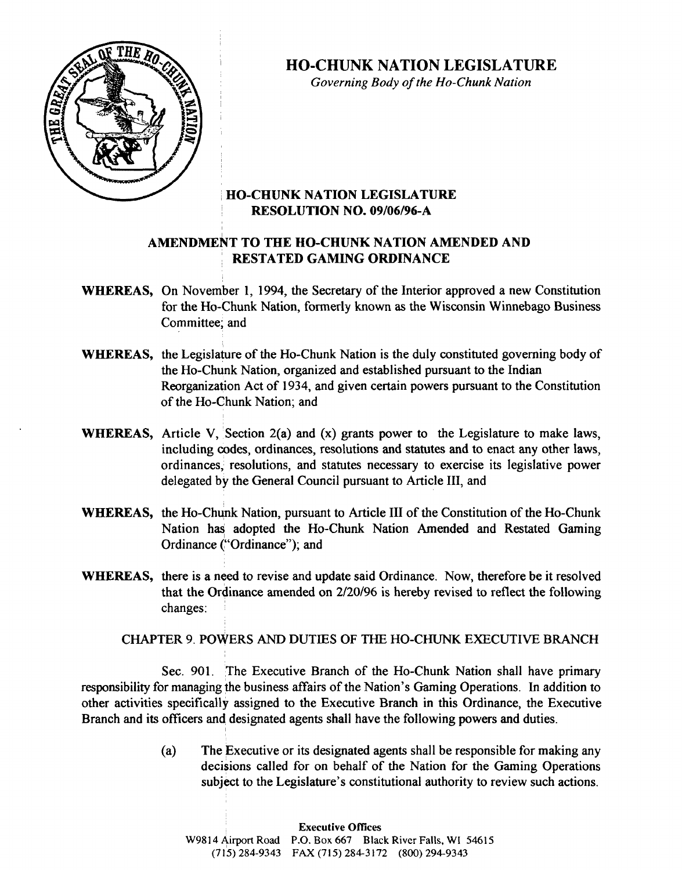

# **HO-CHUNK NATION LEGISLATURE**

*Governing Body of the Ho-Chunk Nation* 

## **HO-CHUNK NATION LEGISLATURE RESOLUTION NO. 09/06/96-A**

# **AMENDMENT TO THE HO-CHUNK NATION AMENDED AND RESTATED GAMING ORDINANCE**

- **WHEREAS,** On November 1, 1994, the Secretary of the Interior approved a new Constitution for the Ho-Chunk Nation, formerly known as the Wisconsin Winnebago Business Committee; and
- **WHEREAS,** the Legislature of the Ho-Chunk Nation is the duly constituted governing body of the Ho-Chunk Nation, organized and established pursuant to the Indian Reorganization Act of 1934, and given certain powers pursuant to the Constitution of the Ho-Chunk Nation; and
- **WHEREAS,** Article V, Section 2(a) and (x) grants power to the Legislature to make laws, including codes, ordinances, resolutions and statutes and to enact any other laws, ordinances, resolutions, and statutes necessary to exercise its legislative power delegated by the General Council pursuant to Article 111, and
- **WHEREAS, the Ho-Chunk Nation, pursuant to Article III of the Constitution of the Ho-Chunk** Nation has adopted the Ho-Chunk Nation Amended and Restated Gaming Ordinance ("Ordinance"); and
- **WHEREAS,** there is a need to revise and update said Ordinance. Now, therefore be it resolved that the Ordinance amended on 2/20/96 is hereby revised to reflect the following changes:

CHAPTER 9. POWERS AND DUTIES OF THE HO-CHUNK EXECUTIVE BRANCH

Sec. 901. The Executive Branch of the Ho-Chunk Nation shall have primary responsibility for managing the business affairs of the Nation's Gaming Operations. In addition to other activities specifically assigned to the Executive Branch in this Ordinance, the Executive Branch and its officers and designated agents shall have the following powers and duties.

> (a) The Executive or its designated agents shall be responsible for making any decisions called for on behalf of the Nation for the Gaming Operations subject to the Legislature's constitutional authority to review such actions.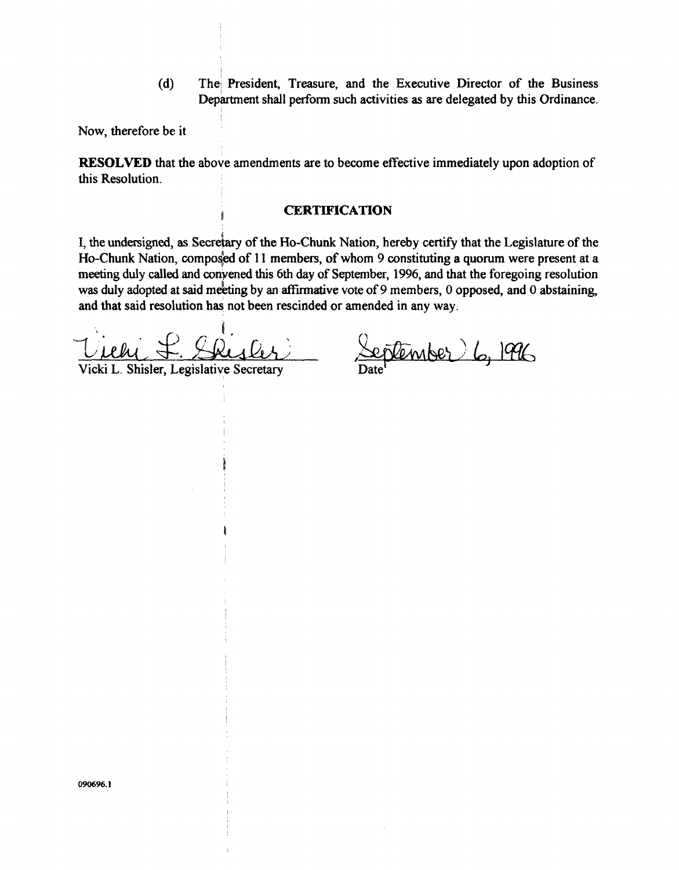(d) The; President, Treasure, and the Executive Director of the Business Department shall perform such activities as are delegated by this Ordinance.

Now, therefore be it

**RESOLVED** that the above amendments are to become effective immediately upon adoption of this Resolution.

### **B CERTIFICATION**

I, the undersigned, as Secretary of the Ho-Chunk Nation, hereby certify that the Legislature of the Ho-Chunk Nation, composed of 11 members, of whom 9 constituting a quorum were present at a meeting duly called and convened this 6th day of September, 1996, and that the foregoing resolution was duly adopted at said meeting by an affirmative vote of 9 members, 0 opposed, and 0 abstaining.

and that said resolution **has** not been rescinded or amended in any way. ., \$. % **1.**  and that said resolution has not been rescinded<br>
Vicki L. Shisler, Legislative Secretary

eptember 6, 1996